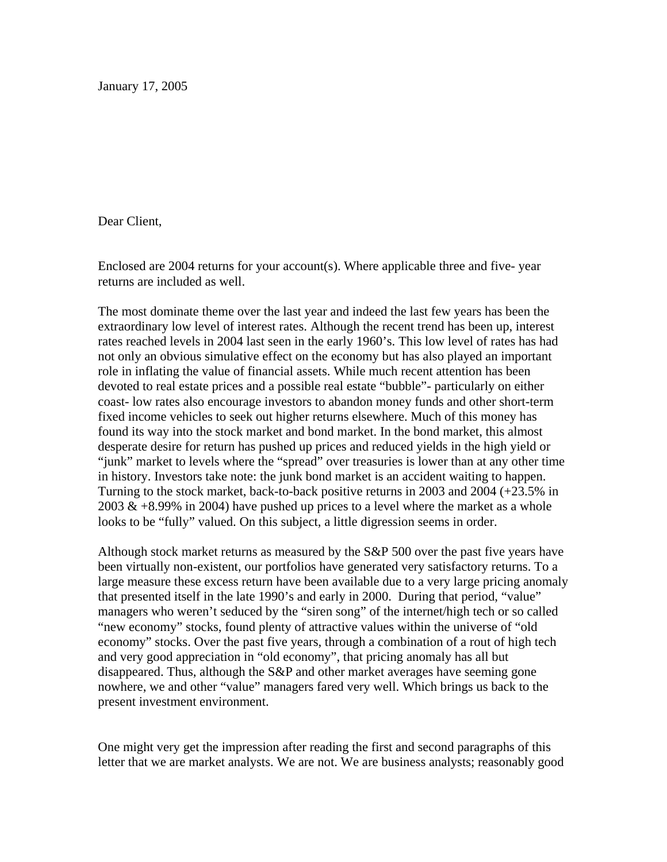January 17, 2005

Dear Client,

Enclosed are 2004 returns for your account(s). Where applicable three and five- year returns are included as well.

The most dominate theme over the last year and indeed the last few years has been the extraordinary low level of interest rates. Although the recent trend has been up, interest rates reached levels in 2004 last seen in the early 1960's. This low level of rates has had not only an obvious simulative effect on the economy but has also played an important role in inflating the value of financial assets. While much recent attention has been devoted to real estate prices and a possible real estate "bubble"- particularly on either coast- low rates also encourage investors to abandon money funds and other short-term fixed income vehicles to seek out higher returns elsewhere. Much of this money has found its way into the stock market and bond market. In the bond market, this almost desperate desire for return has pushed up prices and reduced yields in the high yield or "junk" market to levels where the "spread" over treasuries is lower than at any other time in history. Investors take note: the junk bond market is an accident waiting to happen. Turning to the stock market, back-to-back positive returns in 2003 and 2004 (+23.5% in 2003  $\&$  +8.99% in 2004) have pushed up prices to a level where the market as a whole looks to be "fully" valued. On this subject, a little digression seems in order.

Although stock market returns as measured by the S&P 500 over the past five years have been virtually non-existent, our portfolios have generated very satisfactory returns. To a large measure these excess return have been available due to a very large pricing anomaly that presented itself in the late 1990's and early in 2000. During that period, "value" managers who weren't seduced by the "siren song" of the internet/high tech or so called "new economy" stocks, found plenty of attractive values within the universe of "old economy" stocks. Over the past five years, through a combination of a rout of high tech and very good appreciation in "old economy", that pricing anomaly has all but disappeared. Thus, although the S&P and other market averages have seeming gone nowhere, we and other "value" managers fared very well. Which brings us back to the present investment environment.

One might very get the impression after reading the first and second paragraphs of this letter that we are market analysts. We are not. We are business analysts; reasonably good